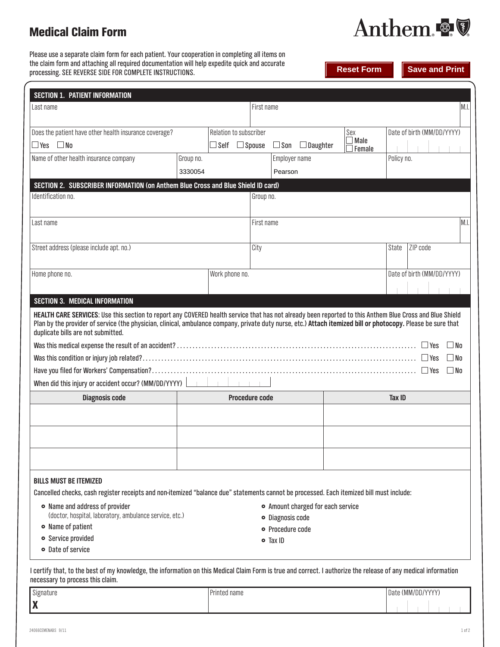# Medical Claim Form

Anthem.

г

**Print** 

Please use a separate claim form for each patient. Your cooperation in completing all items on the claim form and attaching all required documentation will help expedite quick and accurate processing. SEE REVERSE SIDE FOR COMPLETE INSTRUCTIONS.

| rocessing. SEE REVERSE SIDE FOR COMPLETE INSTRUCTIONS.                                                  |             |                        |                                | <b>Reset Form</b> | Save and Print                      |                            |      |
|---------------------------------------------------------------------------------------------------------|-------------|------------------------|--------------------------------|-------------------|-------------------------------------|----------------------------|------|
| <b>SECTION 1. PATIENT INFORMATION</b>                                                                   |             |                        |                                |                   |                                     |                            |      |
| Last name                                                                                               |             |                        | First name                     |                   |                                     |                            | M.I. |
| Does the patient have other health insurance coverage?<br>$\Box$ Yes<br>$\sqcup$ Self $\sqcup$<br>l INo |             | Relation to subscriber | $\square$ Son<br>$\Box$ Spouse | $\Box$ Daughter   | Sex<br>$\Box$ Male<br>$\Box$ Female | Date of birth (MM/DD/YYYY) |      |
| Name of athor hoalth inqurance company                                                                  | $P$ roun no |                        | <b>Employer nome</b>           |                   |                                     | Dolinu no                  |      |

| Name of other health insurance company                                                                                                                                                                                                                                                                                                                          | Group no. |                       | Employer name |        | Policy no.                 |              |  |
|-----------------------------------------------------------------------------------------------------------------------------------------------------------------------------------------------------------------------------------------------------------------------------------------------------------------------------------------------------------------|-----------|-----------------------|---------------|--------|----------------------------|--------------|--|
|                                                                                                                                                                                                                                                                                                                                                                 | 3330054   |                       | Pearson       |        |                            |              |  |
| SECTION 2. SUBSCRIBER INFORMATION (on Anthem Blue Cross and Blue Shield ID card)                                                                                                                                                                                                                                                                                |           |                       |               |        |                            |              |  |
| Identification no.                                                                                                                                                                                                                                                                                                                                              |           |                       | Group no.     |        |                            |              |  |
|                                                                                                                                                                                                                                                                                                                                                                 |           |                       |               |        |                            |              |  |
| Last name                                                                                                                                                                                                                                                                                                                                                       |           | First name            |               |        |                            |              |  |
|                                                                                                                                                                                                                                                                                                                                                                 |           |                       |               | State  | ZIP code                   |              |  |
| Street address (please include apt. no.)                                                                                                                                                                                                                                                                                                                        |           | City                  |               |        |                            |              |  |
| Home phone no.                                                                                                                                                                                                                                                                                                                                                  |           | Work phone no.        |               |        | Date of birth (MM/DD/YYYY) |              |  |
|                                                                                                                                                                                                                                                                                                                                                                 |           |                       |               |        |                            |              |  |
| <b>SECTION 3. MEDICAL INFORMATION</b>                                                                                                                                                                                                                                                                                                                           |           |                       |               |        |                            |              |  |
| HEALTH CARE SERVICES: Use this section to report any COVERED health service that has not already been reported to this Anthem Blue Cross and Blue Shield<br>Plan by the provider of service (the physician, clinical, ambulance company, private duty nurse, etc.) Attach itemized bill or photocopy. Please be sure that<br>duplicate bills are not submitted. |           |                       |               |        |                            |              |  |
|                                                                                                                                                                                                                                                                                                                                                                 |           |                       |               |        |                            | $\Box$ No    |  |
|                                                                                                                                                                                                                                                                                                                                                                 |           |                       |               |        |                            | $\square$ No |  |
|                                                                                                                                                                                                                                                                                                                                                                 |           |                       |               |        |                            | $\Box$ No    |  |
| When did this injury or accident occur? (MM/DD/YYYY)                                                                                                                                                                                                                                                                                                            |           | $-1 - 1 - 1$          |               |        |                            |              |  |
| <b>Diagnosis code</b>                                                                                                                                                                                                                                                                                                                                           |           | <b>Procedure code</b> |               | Tax ID |                            |              |  |
|                                                                                                                                                                                                                                                                                                                                                                 |           |                       |               |        |                            |              |  |
|                                                                                                                                                                                                                                                                                                                                                                 |           |                       |               |        |                            |              |  |
|                                                                                                                                                                                                                                                                                                                                                                 |           |                       |               |        |                            |              |  |
|                                                                                                                                                                                                                                                                                                                                                                 |           |                       |               |        |                            |              |  |
|                                                                                                                                                                                                                                                                                                                                                                 |           |                       |               |        |                            |              |  |

## **BILLS MUST BE ITEMIZED**

Cancelled checks, cash register receipts and non-itemized "balance due" statements cannot be processed. Each itemized bill must include:

| • Name and address of provider                          | • Amount charged for each service |
|---------------------------------------------------------|-----------------------------------|
| (doctor, hospital, laboratory, ambulance service, etc.) | • Diagnosis code                  |
| • Name of patient                                       | • Procedure code                  |
| • Service provided                                      | $\bullet$ Tax ID                  |
| • Date of service                                       |                                   |

I certify that, to the best of my knowledge, the information on this Medical Claim Form is true and correct. I authorize the release of any medical information necessary to process this claim.

| Signature | Printed name | Date (MM/DD/YYYY) |  |
|-----------|--------------|-------------------|--|
| X         |              |                   |  |